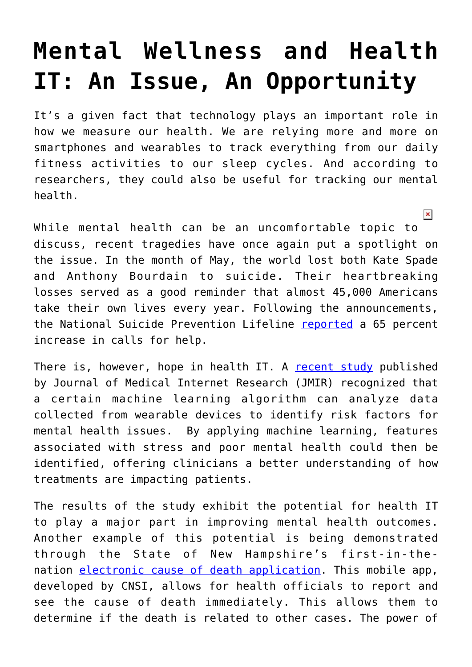## **[Mental Wellness and Health](https://www.cns-inc.com/insights/thought-leadership/mental-wellness-and-health-it-an-issue-an-opportunity/) [IT: An Issue, An Opportunity](https://www.cns-inc.com/insights/thought-leadership/mental-wellness-and-health-it-an-issue-an-opportunity/)**

It's a given fact that technology plays an important role in how we measure our health. We are relying more and more on smartphones and wearables to track everything from our daily fitness activities to our sleep cycles. And according to researchers, they could also be useful for tracking our mental health.

 $\pmb{\times}$ 

While mental health can be an uncomfortable topic to discuss, recent tragedies have once again put a spotlight on the issue. In the month of May, the world lost both Kate Spade and Anthony Bourdain to suicide. Their heartbreaking losses served as a good reminder that almost 45,000 Americans take their own lives every year. Following the announcements, the National Suicide Prevention Lifeline [reported](https://www.cnn.com/2018/06/12/health/suicide-hotline-increase/index.html) a 65 percent increase in calls for help.

There is, however, hope in health IT. A [recent study](http://www.jmir.org/2018/6/e210/) published by Journal of Medical Internet Research (JMIR) recognized that a certain machine learning algorithm can analyze data collected from wearable devices to identify risk factors for mental health issues. By applying machine learning, features associated with stress and poor mental health could then be identified, offering clinicians a better understanding of how treatments are impacting patients.

The results of the study exhibit the potential for health IT to play a major part in improving mental health outcomes. Another example of this potential is being demonstrated through the State of New Hampshire's first-in-thenation [electronic cause of death application.](https://www.cns-inc.com/news-and-press/news/medical-examiners-can-now-upload-death-certificates-%E2%80%93-what-else-%E2%80%93-app) This mobile app, developed by CNSI, allows for health officials to report and see the cause of death immediately. This allows them to determine if the death is related to other cases. The power of